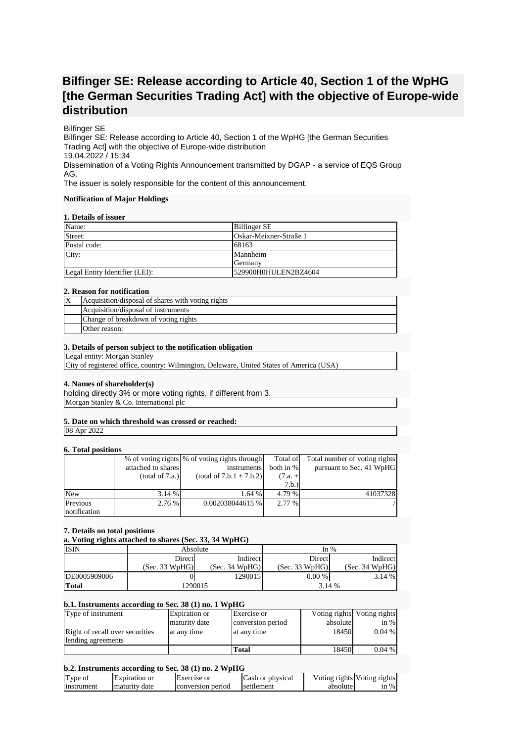# **Bilfinger SE: Release according to Article 40, Section 1 of the WpHG [the German Securities Trading Act] with the objective of Europe-wide distribution**

## Bilfinger SE

Bilfinger SE: Release according to Article 40, Section 1 of the WpHG [the German Securities Trading Act] with the objective of Europe-wide distribution 19.04.2022 / 15:34 Dissemination of a Voting Rights Announcement transmitted by DGAP - a service of EQS Group AG.

The issuer is solely responsible for the content of this announcement.

#### **Notification of Major Holdings**

## **1. Details of issuer**

| Name:                          | <b>Bilfinger SE</b>    |  |
|--------------------------------|------------------------|--|
| Street:                        | Oskar-Meixner-Straße 1 |  |
| Postal code:                   | 68163                  |  |
| City:                          | Mannheim               |  |
|                                | Germany                |  |
| Legal Entity Identifier (LEI): | 529900H0HULEN2BZ4604   |  |

#### **2. Reason for notification**

| Acquisition/disposal of shares with voting rights |
|---------------------------------------------------|
| Acquisition/disposal of instruments               |
| Change of breakdown of voting rights              |
| Other reason:                                     |

## **3. Details of person subject to the notification obligation**

Legal entity: Morgan Stanley

City of registered office, country: Wilmington, Delaware, United States of America (USA)

## **4. Names of shareholder(s)**

holding directly 3% or more voting rights, if different from 3. Morgan Stanley & Co. International plc

## **5. Date on which threshold was crossed or reached:**

08 Apr 2022

## **6. Total positions**

|              |                    | % of voting rights \% of voting rights through | Total of  | Total number of voting rights |
|--------------|--------------------|------------------------------------------------|-----------|-------------------------------|
|              | attached to shares | instruments                                    | both in % | pursuant to Sec. 41 WpHG      |
|              | (total of 7.a.)    | $(total of 7.b.1 + 7.b.2)$                     | $(7.a. +$ |                               |
|              |                    |                                                | 7.b.      |                               |
| <b>New</b>   | 3.14%              | 1.64%                                          | 4.79 %    | 41037328                      |
| Previous     | 2.76%              | 0.002038044615 %                               | 2.77 %    |                               |
| notification |                    |                                                |           |                               |

## **7. Details on total positions**

**a. Voting rights attached to shares (Sec. 33, 34 WpHG)**

| <b>ISIN</b>  | Absolute       |                | In $%$         |                |
|--------------|----------------|----------------|----------------|----------------|
|              | Direct         | Indirect       | Direct         | Indirect       |
|              | (Sec. 33 WpHG) | (Sec. 34 WpHG) | (Sec. 33 WpHG) | (Sec. 34 WpHG) |
| DE0005909006 |                | 1290015        | $0.00\%$       | 3.14%          |
| <b>Total</b> | 1290015        |                | 3.14 %         |                |

#### **b.1. Instruments according to Sec. 38 (1) no. 1 WpHG**

| Type of instrument              | Expiration or | Exercise or       |          | Voting rights Voting rights |
|---------------------------------|---------------|-------------------|----------|-----------------------------|
|                                 | maturity date | conversion period | absolute | in $%$                      |
| Right of recall over securities | at any time   | at any time       | 18450    | $0.04\%$                    |
| lending agreements              |               |                   |          |                             |
|                                 |               | Total             | 18450    | $0.04\%$                    |

## **b.2. Instruments according to Sec. 38 (1) no. 2 WpHG**

| Type of    | Expiration or   | Exercise or       | Cash or physical |          | Voting rights Voting rights |
|------------|-----------------|-------------------|------------------|----------|-----------------------------|
| instrument | I maturity date | conversion period | settlement       | absolute | $\sin \%$                   |